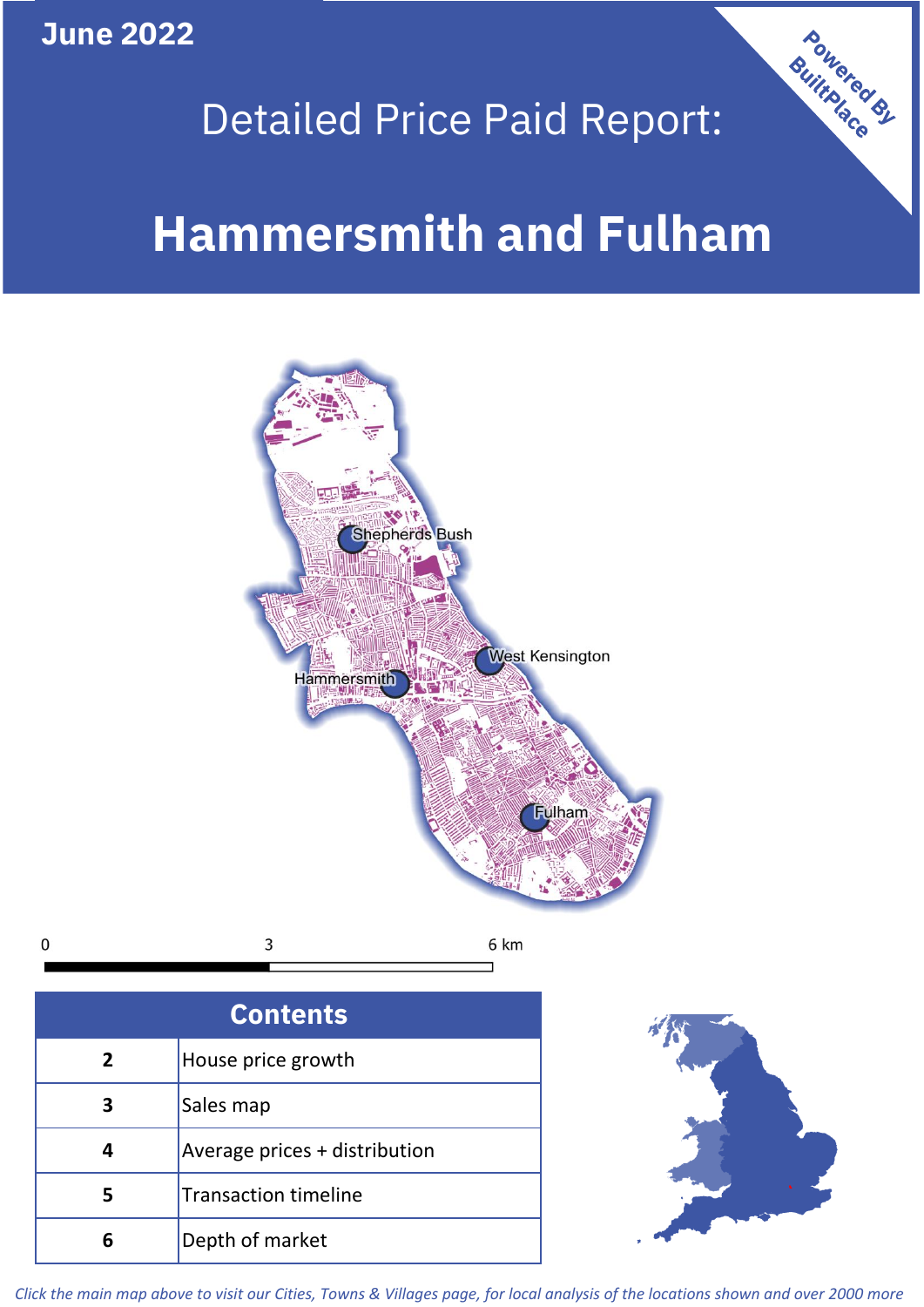**June 2022**

# Detailed Price Paid Report:

# **Hammersmith and Fulham**



3  $\mathbf 0$ 6 km

| <b>Contents</b> |                               |  |  |  |
|-----------------|-------------------------------|--|--|--|
| $\mathbf{2}$    | House price growth            |  |  |  |
| 3               | Sales map                     |  |  |  |
|                 | Average prices + distribution |  |  |  |
|                 | <b>Transaction timeline</b>   |  |  |  |
|                 | Depth of market               |  |  |  |



Powered By

*Click the main map above to visit our Cities, Towns & Villages page, for local analysis of the locations shown and over 2000 more*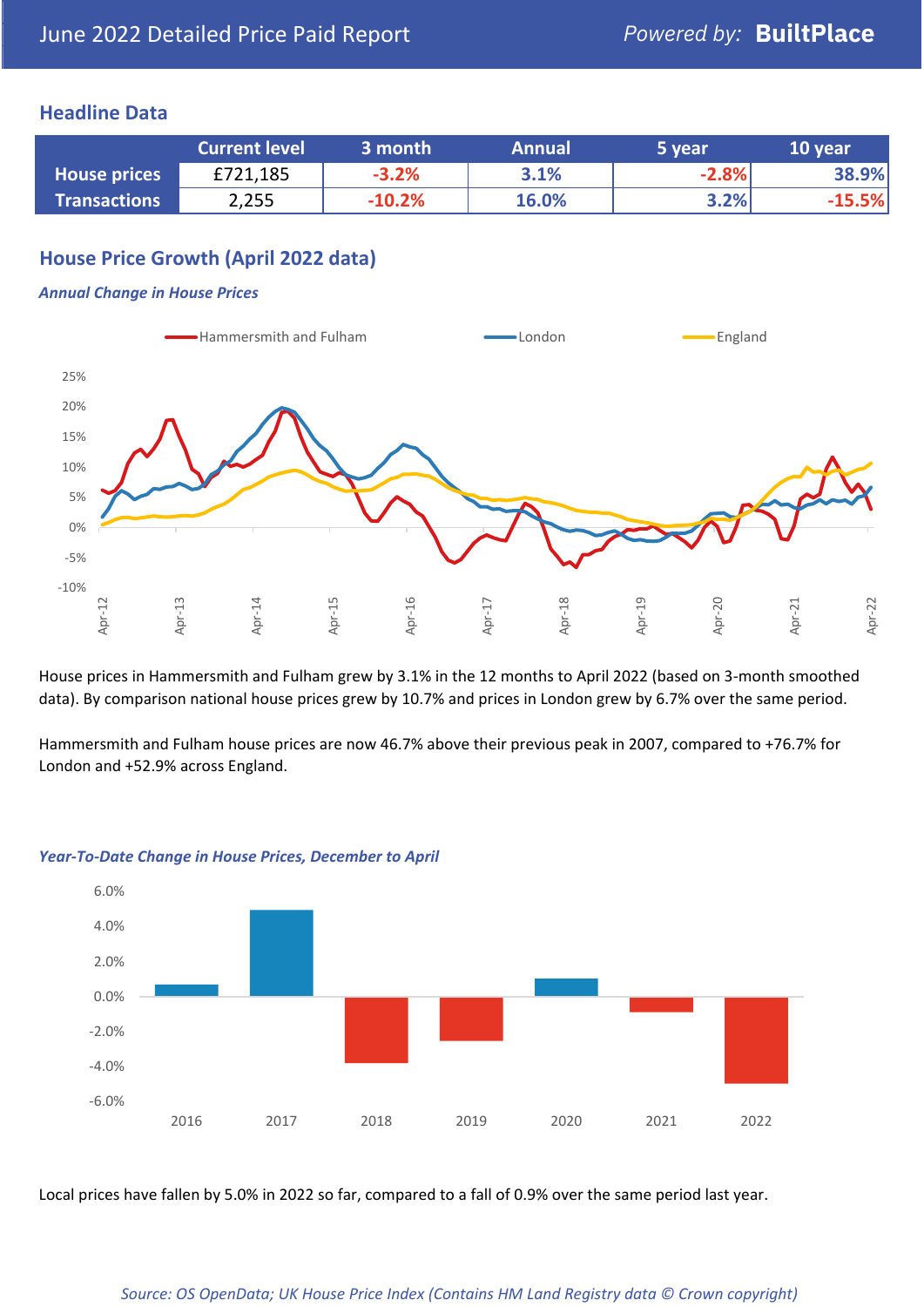### **Headline Data**

|                     | <b>Current level</b> | 3 month  | <b>Annual</b> | 5 year  | 10 year  |
|---------------------|----------------------|----------|---------------|---------|----------|
| <b>House prices</b> | £721,185             | $-3.2%$  | 3.1%          | $-2.8%$ | 38.9%    |
| <b>Transactions</b> | 2,255                | $-10.2%$ | 16.0%         | 3.2%    | $-15.5%$ |

# **House Price Growth (April 2022 data)**

#### *Annual Change in House Prices*



House prices in Hammersmith and Fulham grew by 3.1% in the 12 months to April 2022 (based on 3-month smoothed data). By comparison national house prices grew by 10.7% and prices in London grew by 6.7% over the same period.

Hammersmith and Fulham house prices are now 46.7% above their previous peak in 2007, compared to +76.7% for London and +52.9% across England.



#### *Year-To-Date Change in House Prices, December to April*

Local prices have fallen by 5.0% in 2022 so far, compared to a fall of 0.9% over the same period last year.

#### *Source: OS OpenData; UK House Price Index (Contains HM Land Registry data © Crown copyright)*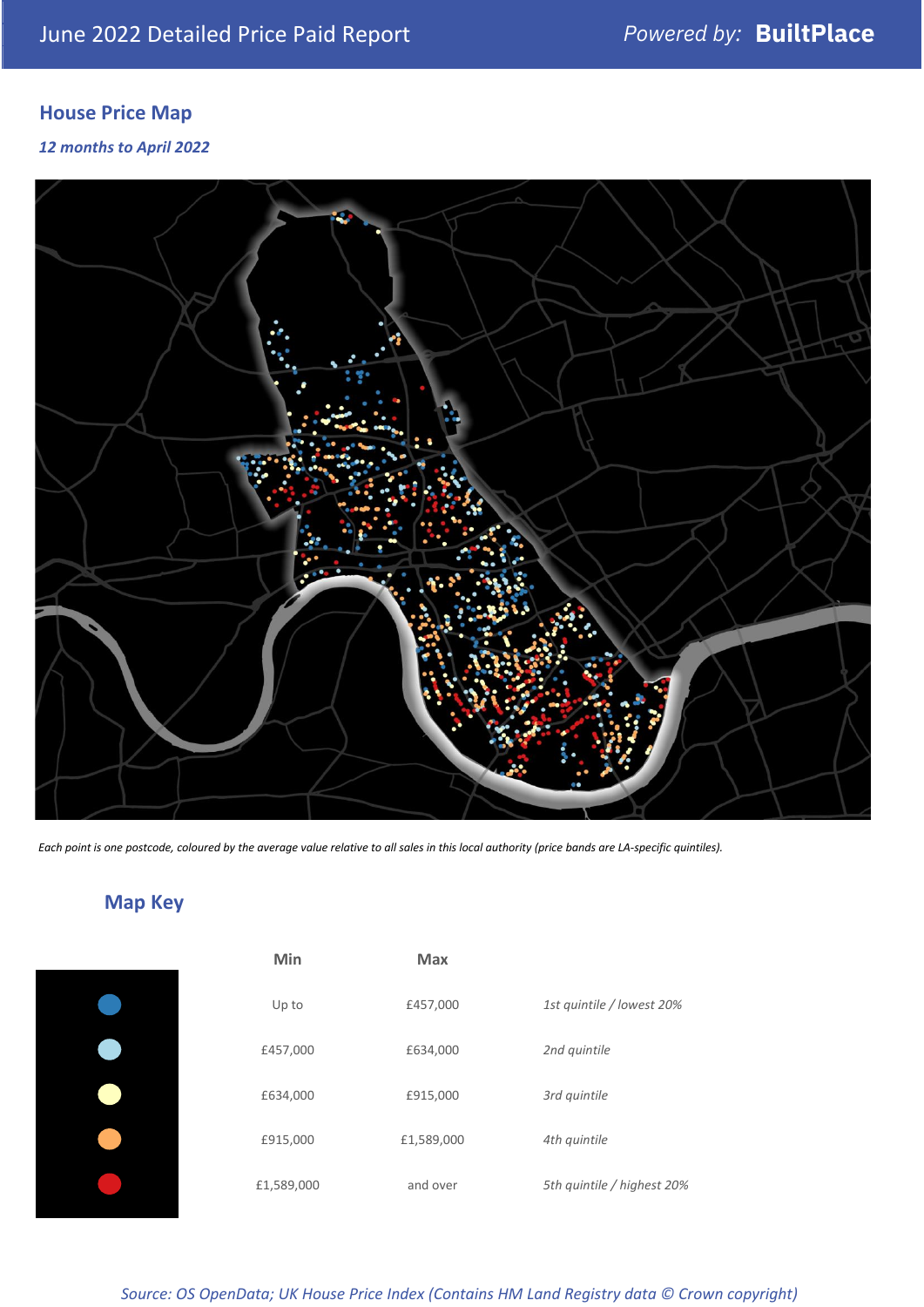# **House Price Map**

*12 months to April 2022*



*Each point is one postcode, coloured by the average value relative to all sales in this local authority (price bands are LA-specific quintiles).*

# **Map Key**

| Min        | <b>Max</b> |                            |
|------------|------------|----------------------------|
| Up to      | £457,000   | 1st quintile / lowest 20%  |
| £457,000   | £634,000   | 2nd quintile               |
| £634,000   | £915,000   | 3rd quintile               |
| £915,000   | £1,589,000 | 4th quintile               |
| £1,589,000 | and over   | 5th quintile / highest 20% |

*Source: OS OpenData; UK House Price Index (Contains HM Land Registry data © Crown copyright)*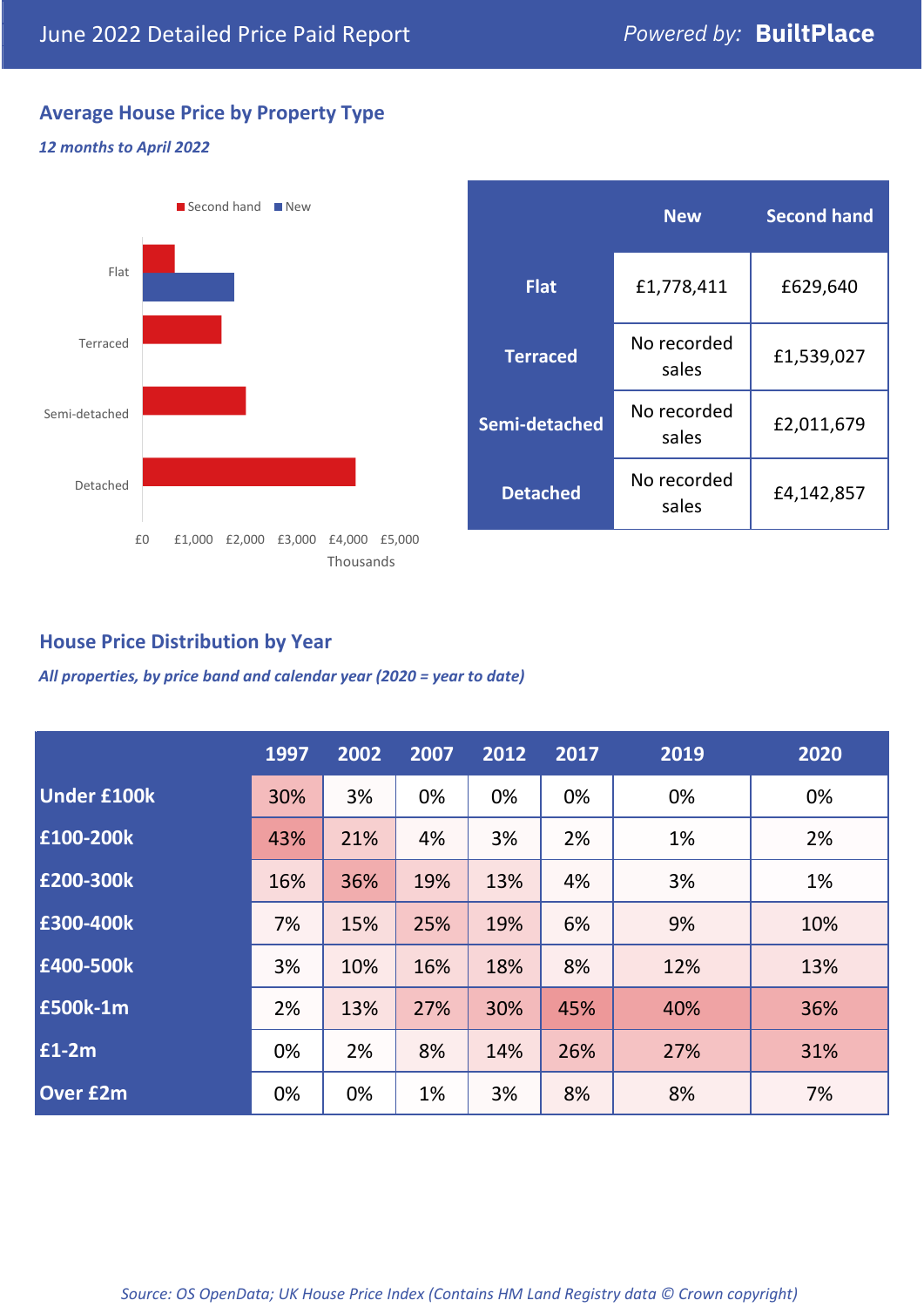# **Average House Price by Property Type**

#### *12 months to April 2022*



# **House Price Distribution by Year**

*All properties, by price band and calendar year (2020 = year to date)*

|                    | 1997 | 2002 | 2007 | 2012 | 2017 | 2019 | 2020 |
|--------------------|------|------|------|------|------|------|------|
| <b>Under £100k</b> | 30%  | 3%   | 0%   | 0%   | 0%   | 0%   | 0%   |
| £100-200k          | 43%  | 21%  | 4%   | 3%   | 2%   | 1%   | 2%   |
| E200-300k          | 16%  | 36%  | 19%  | 13%  | 4%   | 3%   | 1%   |
| £300-400k          | 7%   | 15%  | 25%  | 19%  | 6%   | 9%   | 10%  |
| £400-500k          | 3%   | 10%  | 16%  | 18%  | 8%   | 12%  | 13%  |
| <b>£500k-1m</b>    | 2%   | 13%  | 27%  | 30%  | 45%  | 40%  | 36%  |
| £1-2m              | 0%   | 2%   | 8%   | 14%  | 26%  | 27%  | 31%  |
| <b>Over £2m</b>    | 0%   | 0%   | 1%   | 3%   | 8%   | 8%   | 7%   |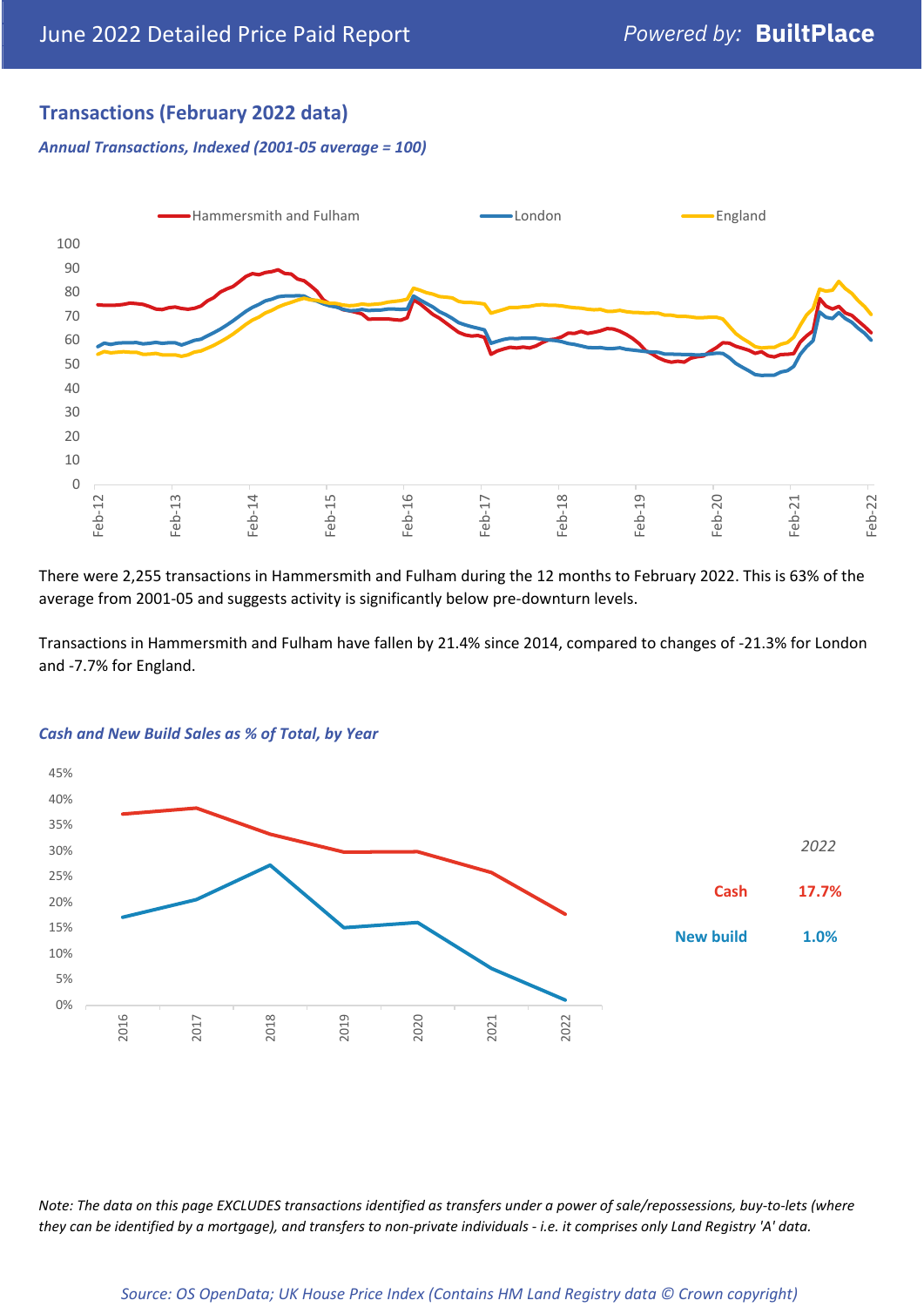# **Transactions (February 2022 data)**

*Annual Transactions, Indexed (2001-05 average = 100)*



There were 2,255 transactions in Hammersmith and Fulham during the 12 months to February 2022. This is 63% of the average from 2001-05 and suggests activity is significantly below pre-downturn levels.

Transactions in Hammersmith and Fulham have fallen by 21.4% since 2014, compared to changes of -21.3% for London and -7.7% for England.



#### *Cash and New Build Sales as % of Total, by Year*

*Note: The data on this page EXCLUDES transactions identified as transfers under a power of sale/repossessions, buy-to-lets (where they can be identified by a mortgage), and transfers to non-private individuals - i.e. it comprises only Land Registry 'A' data.*